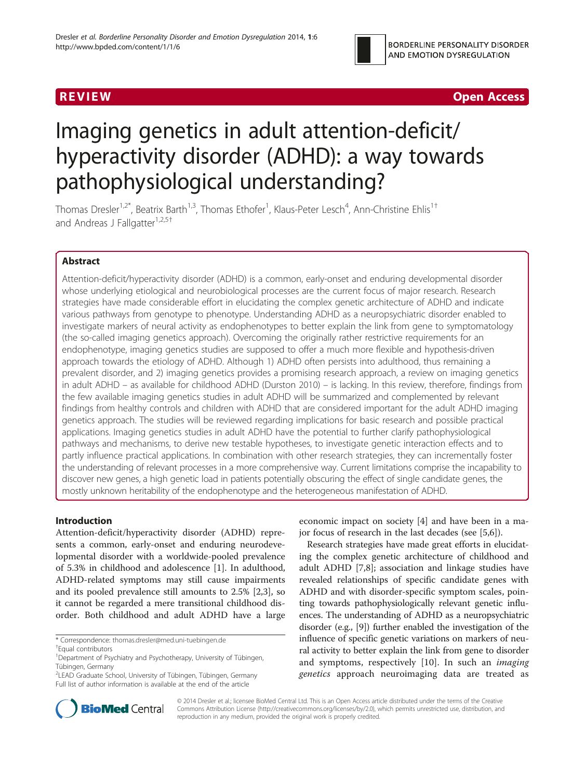R EVI EW Open Access

# Imaging genetics in adult attention-deficit/ hyperactivity disorder (ADHD): a way towards pathophysiological understanding?

Thomas Dresler<sup>1,2\*</sup>, Beatrix Barth<sup>1,3</sup>, Thomas Ethofer<sup>1</sup>, Klaus-Peter Lesch<sup>4</sup>, Ann-Christine Ehlis<sup>1†</sup> and Andreas J Fallgatter<sup>1,2,5+</sup>

# Abstract

Attention-deficit/hyperactivity disorder (ADHD) is a common, early-onset and enduring developmental disorder whose underlying etiological and neurobiological processes are the current focus of major research. Research strategies have made considerable effort in elucidating the complex genetic architecture of ADHD and indicate various pathways from genotype to phenotype. Understanding ADHD as a neuropsychiatric disorder enabled to investigate markers of neural activity as endophenotypes to better explain the link from gene to symptomatology (the so-called imaging genetics approach). Overcoming the originally rather restrictive requirements for an endophenotype, imaging genetics studies are supposed to offer a much more flexible and hypothesis-driven approach towards the etiology of ADHD. Although 1) ADHD often persists into adulthood, thus remaining a prevalent disorder, and 2) imaging genetics provides a promising research approach, a review on imaging genetics in adult ADHD – as available for childhood ADHD (Durston 2010) – is lacking. In this review, therefore, findings from the few available imaging genetics studies in adult ADHD will be summarized and complemented by relevant findings from healthy controls and children with ADHD that are considered important for the adult ADHD imaging genetics approach. The studies will be reviewed regarding implications for basic research and possible practical applications. Imaging genetics studies in adult ADHD have the potential to further clarify pathophysiological pathways and mechanisms, to derive new testable hypotheses, to investigate genetic interaction effects and to partly influence practical applications. In combination with other research strategies, they can incrementally foster the understanding of relevant processes in a more comprehensive way. Current limitations comprise the incapability to discover new genes, a high genetic load in patients potentially obscuring the effect of single candidate genes, the mostly unknown heritability of the endophenotype and the heterogeneous manifestation of ADHD.

# Introduction

Attention-deficit/hyperactivity disorder (ADHD) represents a common, early-onset and enduring neurodevelopmental disorder with a worldwide-pooled prevalence of 5.3% in childhood and adolescence [[1\]](#page-6-0). In adulthood, ADHD-related symptoms may still cause impairments and its pooled prevalence still amounts to 2.5% [[2,3\]](#page-6-0), so it cannot be regarded a mere transitional childhood disorder. Both childhood and adult ADHD have a large

economic impact on society [[4\]](#page-6-0) and have been in a major focus of research in the last decades (see [[5,6\]](#page-6-0)).

Research strategies have made great efforts in elucidating the complex genetic architecture of childhood and adult ADHD [\[7](#page-6-0),[8](#page-6-0)]; association and linkage studies have revealed relationships of specific candidate genes with ADHD and with disorder-specific symptom scales, pointing towards pathophysiologically relevant genetic influences. The understanding of ADHD as a neuropsychiatric disorder (e.g., [\[9](#page-6-0)]) further enabled the investigation of the influence of specific genetic variations on markers of neural activity to better explain the link from gene to disorder and symptoms, respectively [[10](#page-6-0)]. In such an imaging genetics approach neuroimaging data are treated as



© 2014 Dresler et al.; licensee BioMed Central Ltd. This is an Open Access article distributed under the terms of the Creative Commons Attribution License [\(http://creativecommons.org/licenses/by/2.0\)](http://creativecommons.org/licenses/by/2.0), which permits unrestricted use, distribution, and reproduction in any medium, provided the original work is properly credited.

<sup>\*</sup> Correspondence: [thomas.dresler@med.uni-tuebingen.de](mailto:thomas.dresler@med.uni-tuebingen.de) †

Equal contributors

<sup>&</sup>lt;sup>1</sup>Department of Psychiatry and Psychotherapy, University of Tübingen, Tübingen, Germany

<sup>2</sup> LEAD Graduate School, University of Tübingen, Tübingen, Germany Full list of author information is available at the end of the article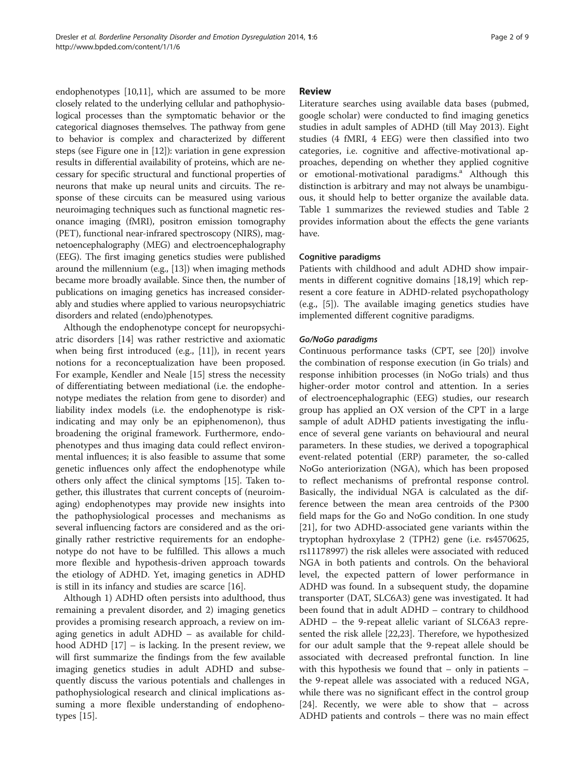endophenotypes [\[10,11\]](#page-6-0), which are assumed to be more closely related to the underlying cellular and pathophysiological processes than the symptomatic behavior or the categorical diagnoses themselves. The pathway from gene to behavior is complex and characterized by different steps (see Figure one in [\[12\]](#page-6-0)): variation in gene expression results in differential availability of proteins, which are necessary for specific structural and functional properties of neurons that make up neural units and circuits. The response of these circuits can be measured using various neuroimaging techniques such as functional magnetic resonance imaging (fMRI), positron emission tomography (PET), functional near-infrared spectroscopy (NIRS), magnetoencephalography (MEG) and electroencephalography (EEG). The first imaging genetics studies were published around the millennium (e.g., [[13](#page-6-0)]) when imaging methods became more broadly available. Since then, the number of publications on imaging genetics has increased considerably and studies where applied to various neuropsychiatric disorders and related (endo)phenotypes.

Although the endophenotype concept for neuropsychiatric disorders [\[14](#page-6-0)] was rather restrictive and axiomatic when being first introduced (e.g., [\[11\]](#page-6-0)), in recent years notions for a reconceptualization have been proposed. For example, Kendler and Neale [\[15\]](#page-6-0) stress the necessity of differentiating between mediational (i.e. the endophenotype mediates the relation from gene to disorder) and liability index models (i.e. the endophenotype is riskindicating and may only be an epiphenomenon), thus broadening the original framework. Furthermore, endophenotypes and thus imaging data could reflect environmental influences; it is also feasible to assume that some genetic influences only affect the endophenotype while others only affect the clinical symptoms [\[15](#page-6-0)]. Taken together, this illustrates that current concepts of (neuroimaging) endophenotypes may provide new insights into the pathophysiological processes and mechanisms as several influencing factors are considered and as the originally rather restrictive requirements for an endophenotype do not have to be fulfilled. This allows a much more flexible and hypothesis-driven approach towards the etiology of ADHD. Yet, imaging genetics in ADHD is still in its infancy and studies are scarce [\[16\]](#page-6-0).

Although 1) ADHD often persists into adulthood, thus remaining a prevalent disorder, and 2) imaging genetics provides a promising research approach, a review on imaging genetics in adult ADHD – as available for childhood ADHD [\[17\]](#page-6-0) – is lacking. In the present review, we will first summarize the findings from the few available imaging genetics studies in adult ADHD and subsequently discuss the various potentials and challenges in pathophysiological research and clinical implications assuming a more flexible understanding of endophenotypes [[15\]](#page-6-0).

# Review

Literature searches using available data bases (pubmed, google scholar) were conducted to find imaging genetics studies in adult samples of ADHD (till May 2013). Eight studies (4 fMRI, 4 EEG) were then classified into two categories, i.e. cognitive and affective-motivational approaches, depending on whether they applied cognitive or emotional-motivational paradigms.<sup>a</sup> Although this distinction is arbitrary and may not always be unambiguous, it should help to better organize the available data. Table [1](#page-2-0) summarizes the reviewed studies and Table [2](#page-3-0) provides information about the effects the gene variants have.

# Cognitive paradigms

Patients with childhood and adult ADHD show impairments in different cognitive domains [\[18,19\]](#page-6-0) which represent a core feature in ADHD-related psychopathology (e.g., [[5\]](#page-6-0)). The available imaging genetics studies have implemented different cognitive paradigms.

# Go/NoGo paradigms

Continuous performance tasks (CPT, see [\[20](#page-6-0)]) involve the combination of response execution (in Go trials) and response inhibition processes (in NoGo trials) and thus higher-order motor control and attention. In a series of electroencephalographic (EEG) studies, our research group has applied an OX version of the CPT in a large sample of adult ADHD patients investigating the influence of several gene variants on behavioural and neural parameters. In these studies, we derived a topographical event-related potential (ERP) parameter, the so-called NoGo anteriorization (NGA), which has been proposed to reflect mechanisms of prefrontal response control. Basically, the individual NGA is calculated as the difference between the mean area centroids of the P300 field maps for the Go and NoGo condition. In one study [[21\]](#page-7-0), for two ADHD-associated gene variants within the tryptophan hydroxylase 2 (TPH2) gene (i.e. rs4570625, rs11178997) the risk alleles were associated with reduced NGA in both patients and controls. On the behavioral level, the expected pattern of lower performance in ADHD was found. In a subsequent study, the dopamine transporter (DAT, SLC6A3) gene was investigated. It had been found that in adult ADHD – contrary to childhood ADHD – the 9-repeat allelic variant of SLC6A3 represented the risk allele [\[22,23](#page-7-0)]. Therefore, we hypothesized for our adult sample that the 9-repeat allele should be associated with decreased prefrontal function. In line with this hypothesis we found that – only in patients – the 9-repeat allele was associated with a reduced NGA, while there was no significant effect in the control group [[24\]](#page-7-0). Recently, we were able to show that – across ADHD patients and controls – there was no main effect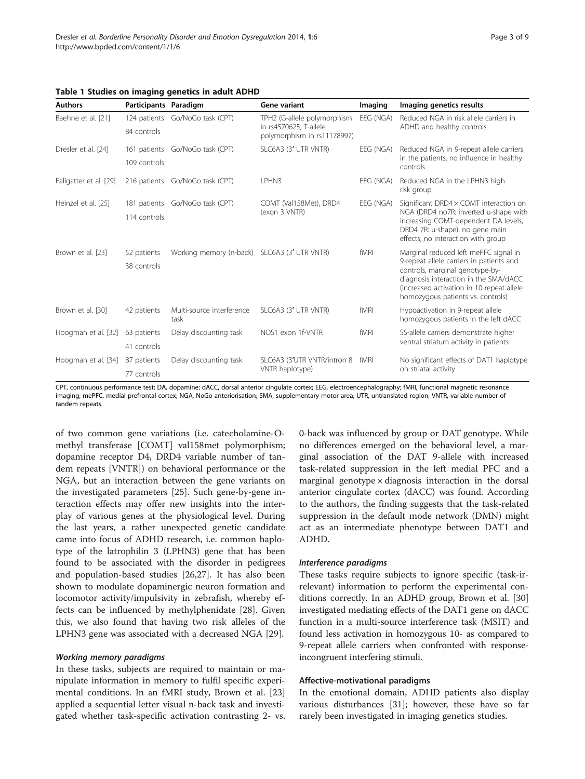<span id="page-2-0"></span>

| Table 1 Studies on imaging genetics in adult ADHD |  |
|---------------------------------------------------|--|
|---------------------------------------------------|--|

| <b>Authors</b>         | Participants Paradigm |                                   | Gene variant                                          | Imaging   | Imaging genetics results                                                                                                                                                                                                                        |
|------------------------|-----------------------|-----------------------------------|-------------------------------------------------------|-----------|-------------------------------------------------------------------------------------------------------------------------------------------------------------------------------------------------------------------------------------------------|
| Baehne et al. [21]     | 124 patients          | Go/NoGo task (CPT)                | TPH2 (G-allele polymorphism                           | EEG (NGA) | Reduced NGA in risk allele carriers in<br>ADHD and healthy controls                                                                                                                                                                             |
|                        | 84 controls           |                                   | in rs4570625, T-allele<br>polymorphism in rs11178997) |           |                                                                                                                                                                                                                                                 |
| Dresler et al. [24]    |                       | 161 patients Go/NoGo task (CPT)   | SLC6A3 (3' UTR VNTR)                                  | EEG (NGA) | Reduced NGA in 9-repeat allele carriers<br>in the patients, no influence in healthy<br>controls                                                                                                                                                 |
|                        | 109 controls          |                                   |                                                       |           |                                                                                                                                                                                                                                                 |
| Fallgatter et al. [29] |                       | 216 patients Go/NoGo task (CPT)   | LPHN3                                                 | EEG (NGA) | Reduced NGA in the LPHN3 high<br>risk group                                                                                                                                                                                                     |
| Heinzel et al. [25]    |                       | 181 patients Go/NoGo task (CPT)   | COMT (Val158Met), DRD4<br>(exon 3 VNTR)               | EEG (NGA) | Significant DRD4 $\times$ COMT interaction on<br>NGA (DRD4 no7R: inverted u-shape with<br>increasing COMT-dependent DA levels,<br>DRD4 7R: u-shape), no gene main<br>effects, no interaction with group                                         |
|                        | 114 controls          |                                   |                                                       |           |                                                                                                                                                                                                                                                 |
| Brown et al. [23]      | 52 patients           | Working memory (n-back)           | SLC6A3 (3' UTR VNTR)                                  | fMRI      | Marginal reduced left mePFC signal in<br>9-repeat allele carriers in patients and<br>controls, marginal genotype-by-<br>diagnosis interaction in the SMA/dACC<br>(increased activation in 10-repeat allele<br>homozygous patients vs. controls) |
|                        | 38 controls           |                                   |                                                       |           |                                                                                                                                                                                                                                                 |
| Brown et al. [30]      | 42 patients           | Multi-source interference<br>task | SLC6A3 (3' UTR VNTR)                                  | fMRI      | Hypoactivation in 9-repeat allele<br>homozygous patients in the left dACC                                                                                                                                                                       |
| Hoogman et al. [32]    | 63 patients           | Delay discounting task            | NOS1 exon 1f-VNTR                                     | fMRI      | SS-allele carriers demonstrate higher<br>ventral striatum activity in patients                                                                                                                                                                  |
|                        | 41 controls           |                                   |                                                       |           |                                                                                                                                                                                                                                                 |
| Hoogman et al. [34]    | 87 patients           | Delay discounting task            | SLC6A3 (3'UTR VNTR/intron 8                           | fMRI      | No significant effects of DAT1 haplotype<br>on striatal activity                                                                                                                                                                                |
|                        | 77 controls           |                                   | VNTR haplotype)                                       |           |                                                                                                                                                                                                                                                 |

CPT, continuous performance test; DA, dopamine; dACC, dorsal anterior cingulate cortex; EEG, electroencephalography; fMRI, functional magnetic resonance imaging; mePFC, medial prefrontal cortex; NGA, NoGo-anteriorisation; SMA, supplementary motor area; UTR, untranslated region; VNTR, variable number of tandem repeats.

of two common gene variations (i.e. catecholamine-Omethyl transferase [COMT] val158met polymorphism; dopamine receptor D4, DRD4 variable number of tandem repeats [VNTR]) on behavioral performance or the NGA, but an interaction between the gene variants on the investigated parameters [[25\]](#page-7-0). Such gene-by-gene interaction effects may offer new insights into the interplay of various genes at the physiological level. During the last years, a rather unexpected genetic candidate came into focus of ADHD research, i.e. common haplotype of the latrophilin 3 (LPHN3) gene that has been found to be associated with the disorder in pedigrees and population-based studies [[26](#page-7-0),[27](#page-7-0)]. It has also been shown to modulate dopaminergic neuron formation and locomotor activity/impulsivity in zebrafish, whereby effects can be influenced by methylphenidate [\[28\]](#page-7-0). Given this, we also found that having two risk alleles of the LPHN3 gene was associated with a decreased NGA [[29\]](#page-7-0).

#### Working memory paradigms

In these tasks, subjects are required to maintain or manipulate information in memory to fulfil specific experimental conditions. In an fMRI study, Brown et al. [[23](#page-7-0)] applied a sequential letter visual n-back task and investigated whether task-specific activation contrasting 2- vs. 0-back was influenced by group or DAT genotype. While no differences emerged on the behavioral level, a marginal association of the DAT 9-allele with increased task-related suppression in the left medial PFC and a marginal genotype  $\times$  diagnosis interaction in the dorsal anterior cingulate cortex (dACC) was found. According to the authors, the finding suggests that the task-related suppression in the default mode network (DMN) might act as an intermediate phenotype between DAT1 and ADHD.

#### Interference paradigms

These tasks require subjects to ignore specific (task-irrelevant) information to perform the experimental conditions correctly. In an ADHD group, Brown et al. [[30](#page-7-0)] investigated mediating effects of the DAT1 gene on dACC function in a multi-source interference task (MSIT) and found less activation in homozygous 10- as compared to 9-repeat allele carriers when confronted with responseincongruent interfering stimuli.

#### Affective-motivational paradigms

In the emotional domain, ADHD patients also display various disturbances [[31\]](#page-7-0); however, these have so far rarely been investigated in imaging genetics studies.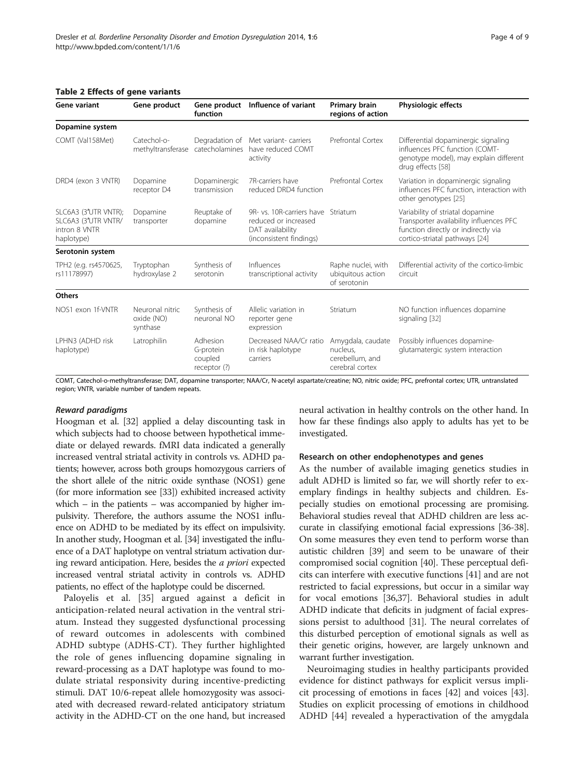<span id="page-3-0"></span>Table 2 Effects of gene variants

| Gene variant                                                               | Gene product                              | function                                           | Gene product Influence of variant                                                                         | Primary brain<br>regions of action                                  | Physiologic effects                                                                                                                                  |
|----------------------------------------------------------------------------|-------------------------------------------|----------------------------------------------------|-----------------------------------------------------------------------------------------------------------|---------------------------------------------------------------------|------------------------------------------------------------------------------------------------------------------------------------------------------|
| Dopamine system                                                            |                                           |                                                    |                                                                                                           |                                                                     |                                                                                                                                                      |
| COMT (Val158Met)                                                           | Catechol-o-<br>methyltransferase          | Degradation of<br>catecholamines                   | Met variant- carriers<br>have reduced COMT<br>activity                                                    | Prefrontal Cortex                                                   | Differential dopaminergic signaling<br>influences PFC function (COMT-<br>genotype model), may explain different<br>drug effects [58]                 |
| DRD4 (exon 3 VNTR)                                                         | Dopamine<br>receptor D4                   | Dopaminergic<br>transmission                       | 7R-carriers have<br>reduced DRD4 function                                                                 | Prefrontal Cortex                                                   | Variation in dopaminergic signaling<br>influences PFC function, interaction with<br>other genotypes [25]                                             |
| SLC6A3 (3'UTR VNTR);<br>SLC6A3 (3'UTR VNTR/<br>intron 8 VNTR<br>haplotype) | Dopamine<br>transporter                   | Reuptake of<br>dopamine                            | 9R- vs. 10R-carriers have Striatum<br>reduced or increased<br>DAT availability<br>(inconsistent findings) |                                                                     | Variability of striatal dopamine<br>Transporter availability influences PFC<br>function directly or indirectly via<br>cortico-striatal pathways [24] |
| Serotonin system                                                           |                                           |                                                    |                                                                                                           |                                                                     |                                                                                                                                                      |
| TPH2 (e.g. rs4570625,<br>rs11178997)                                       | Tryptophan<br>hydroxylase 2               | Synthesis of<br>serotonin                          | Influences<br>transcriptional activity                                                                    | Raphe nuclei, with<br>ubiquitous action<br>of serotonin             | Differential activity of the cortico-limbic<br>circuit                                                                                               |
| Others                                                                     |                                           |                                                    |                                                                                                           |                                                                     |                                                                                                                                                      |
| NOS1 exon 1f-VNTR                                                          | Neuronal nitric<br>oxide (NO)<br>synthase | Synthesis of<br>neuronal NO                        | Allelic variation in<br>reporter gene<br>expression                                                       | Striatum                                                            | NO function influences dopamine<br>signaling [32]                                                                                                    |
| LPHN3 (ADHD risk<br>haplotype)                                             | Latrophilin                               | Adhesion<br>G-protein<br>coupled<br>receptor $(?)$ | Decreased NAA/Cr ratio<br>in risk haplotype<br>carriers                                                   | Amygdala, caudate<br>nucleus,<br>cerebellum, and<br>cerebral cortex | Possibly influences dopamine-<br>glutamatergic system interaction                                                                                    |

COMT, Catechol-o-methyltransferase; DAT, dopamine transporter; NAA/Cr, N-acetyl aspartate/creatine; NO, nitric oxide; PFC, prefrontal cortex; UTR, untranslated region; VNTR, variable number of tandem repeats.

### Reward paradigms

Hoogman et al. [\[32](#page-7-0)] applied a delay discounting task in which subjects had to choose between hypothetical immediate or delayed rewards. fMRI data indicated a generally increased ventral striatal activity in controls vs. ADHD patients; however, across both groups homozygous carriers of the short allele of the nitric oxide synthase (NOS1) gene (for more information see [\[33\]](#page-7-0)) exhibited increased activity which – in the patients – was accompanied by higher impulsivity. Therefore, the authors assume the NOS1 influence on ADHD to be mediated by its effect on impulsivity. In another study, Hoogman et al. [\[34](#page-7-0)] investigated the influence of a DAT haplotype on ventral striatum activation during reward anticipation. Here, besides the a priori expected increased ventral striatal activity in controls vs. ADHD patients, no effect of the haplotype could be discerned.

Paloyelis et al. [[35\]](#page-7-0) argued against a deficit in anticipation-related neural activation in the ventral striatum. Instead they suggested dysfunctional processing of reward outcomes in adolescents with combined ADHD subtype (ADHS-CT). They further highlighted the role of genes influencing dopamine signaling in reward-processing as a DAT haplotype was found to modulate striatal responsivity during incentive-predicting stimuli. DAT 10/6-repeat allele homozygosity was associated with decreased reward-related anticipatory striatum activity in the ADHD-CT on the one hand, but increased

neural activation in healthy controls on the other hand. In how far these findings also apply to adults has yet to be investigated.

### Research on other endophenotypes and genes

As the number of available imaging genetics studies in adult ADHD is limited so far, we will shortly refer to exemplary findings in healthy subjects and children. Especially studies on emotional processing are promising. Behavioral studies reveal that ADHD children are less accurate in classifying emotional facial expressions [[36](#page-7-0)-[38](#page-7-0)]. On some measures they even tend to perform worse than autistic children [\[39\]](#page-7-0) and seem to be unaware of their compromised social cognition [\[40\]](#page-7-0). These perceptual deficits can interfere with executive functions [\[41\]](#page-7-0) and are not restricted to facial expressions, but occur in a similar way for vocal emotions [\[36,37](#page-7-0)]. Behavioral studies in adult ADHD indicate that deficits in judgment of facial expressions persist to adulthood [\[31](#page-7-0)]. The neural correlates of this disturbed perception of emotional signals as well as their genetic origins, however, are largely unknown and warrant further investigation.

Neuroimaging studies in healthy participants provided evidence for distinct pathways for explicit versus implicit processing of emotions in faces [[42](#page-7-0)] and voices [\[43](#page-7-0)]. Studies on explicit processing of emotions in childhood ADHD [[44\]](#page-7-0) revealed a hyperactivation of the amygdala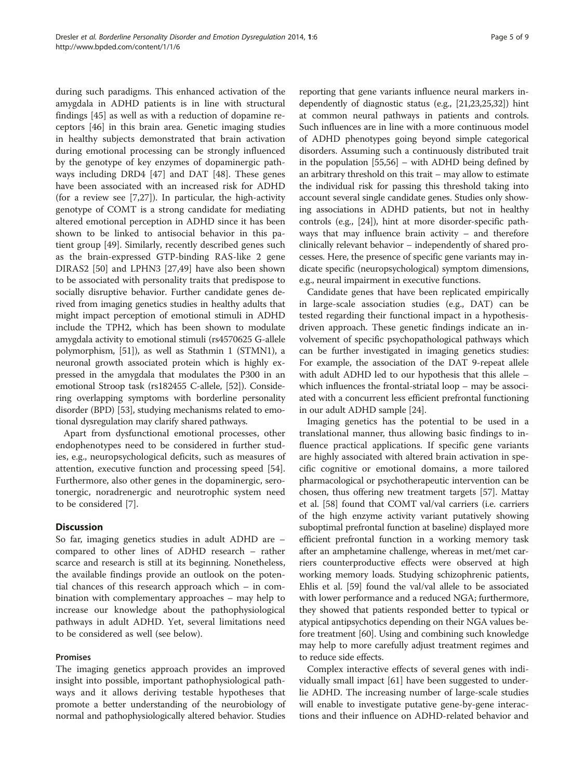during such paradigms. This enhanced activation of the amygdala in ADHD patients is in line with structural findings [\[45](#page-7-0)] as well as with a reduction of dopamine receptors [[46\]](#page-7-0) in this brain area. Genetic imaging studies in healthy subjects demonstrated that brain activation during emotional processing can be strongly influenced by the genotype of key enzymes of dopaminergic pathways including DRD4 [[47](#page-7-0)] and DAT [[48\]](#page-7-0). These genes have been associated with an increased risk for ADHD (for a review see [\[7](#page-6-0)[,27](#page-7-0)]). In particular, the high-activity genotype of COMT is a strong candidate for mediating altered emotional perception in ADHD since it has been shown to be linked to antisocial behavior in this patient group [[49\]](#page-7-0). Similarly, recently described genes such as the brain-expressed GTP-binding RAS-like 2 gene DIRAS2 [\[50](#page-7-0)] and LPHN3 [[27](#page-7-0),[49](#page-7-0)] have also been shown to be associated with personality traits that predispose to socially disruptive behavior. Further candidate genes derived from imaging genetics studies in healthy adults that might impact perception of emotional stimuli in ADHD include the TPH2, which has been shown to modulate amygdala activity to emotional stimuli (rs4570625 G-allele polymorphism, [\[51\]](#page-7-0)), as well as Stathmin 1 (STMN1), a neuronal growth associated protein which is highly expressed in the amygdala that modulates the P300 in an emotional Stroop task (rs182455 C-allele, [[52\]](#page-7-0)). Considering overlapping symptoms with borderline personality disorder (BPD) [[53](#page-7-0)], studying mechanisms related to emotional dysregulation may clarify shared pathways.

Apart from dysfunctional emotional processes, other endophenotypes need to be considered in further studies, e.g., neuropsychological deficits, such as measures of attention, executive function and processing speed [\[54](#page-8-0)]. Furthermore, also other genes in the dopaminergic, serotonergic, noradrenergic and neurotrophic system need to be considered [[7\]](#page-6-0).

# **Discussion**

So far, imaging genetics studies in adult ADHD are – compared to other lines of ADHD research – rather scarce and research is still at its beginning. Nonetheless, the available findings provide an outlook on the potential chances of this research approach which – in combination with complementary approaches – may help to increase our knowledge about the pathophysiological pathways in adult ADHD. Yet, several limitations need to be considered as well (see below).

### Promises

The imaging genetics approach provides an improved insight into possible, important pathophysiological pathways and it allows deriving testable hypotheses that promote a better understanding of the neurobiology of normal and pathophysiologically altered behavior. Studies

reporting that gene variants influence neural markers independently of diagnostic status (e.g., [\[21,23,25,32\]](#page-7-0)) hint at common neural pathways in patients and controls. Such influences are in line with a more continuous model of ADHD phenotypes going beyond simple categorical disorders. Assuming such a continuously distributed trait in the population [\[55,56\]](#page-8-0) – with ADHD being defined by an arbitrary threshold on this trait – may allow to estimate the individual risk for passing this threshold taking into account several single candidate genes. Studies only showing associations in ADHD patients, but not in healthy controls (e.g., [\[24\]](#page-7-0)), hint at more disorder-specific pathways that may influence brain activity – and therefore clinically relevant behavior – independently of shared processes. Here, the presence of specific gene variants may indicate specific (neuropsychological) symptom dimensions, e.g., neural impairment in executive functions.

Candidate genes that have been replicated empirically in large-scale association studies (e.g., DAT) can be tested regarding their functional impact in a hypothesisdriven approach. These genetic findings indicate an involvement of specific psychopathological pathways which can be further investigated in imaging genetics studies: For example, the association of the DAT 9-repeat allele with adult ADHD led to our hypothesis that this allele – which influences the frontal-striatal loop – may be associated with a concurrent less efficient prefrontal functioning in our adult ADHD sample [\[24](#page-7-0)].

Imaging genetics has the potential to be used in a translational manner, thus allowing basic findings to influence practical applications. If specific gene variants are highly associated with altered brain activation in specific cognitive or emotional domains, a more tailored pharmacological or psychotherapeutic intervention can be chosen, thus offering new treatment targets [[57](#page-8-0)]. Mattay et al. [[58](#page-8-0)] found that COMT val/val carriers (i.e. carriers of the high enzyme activity variant putatively showing suboptimal prefrontal function at baseline) displayed more efficient prefrontal function in a working memory task after an amphetamine challenge, whereas in met/met carriers counterproductive effects were observed at high working memory loads. Studying schizophrenic patients, Ehlis et al. [\[59\]](#page-8-0) found the val/val allele to be associated with lower performance and a reduced NGA; furthermore, they showed that patients responded better to typical or atypical antipsychotics depending on their NGA values before treatment [\[60\]](#page-8-0). Using and combining such knowledge may help to more carefully adjust treatment regimes and to reduce side effects.

Complex interactive effects of several genes with individually small impact [[61\]](#page-8-0) have been suggested to underlie ADHD. The increasing number of large-scale studies will enable to investigate putative gene-by-gene interactions and their influence on ADHD-related behavior and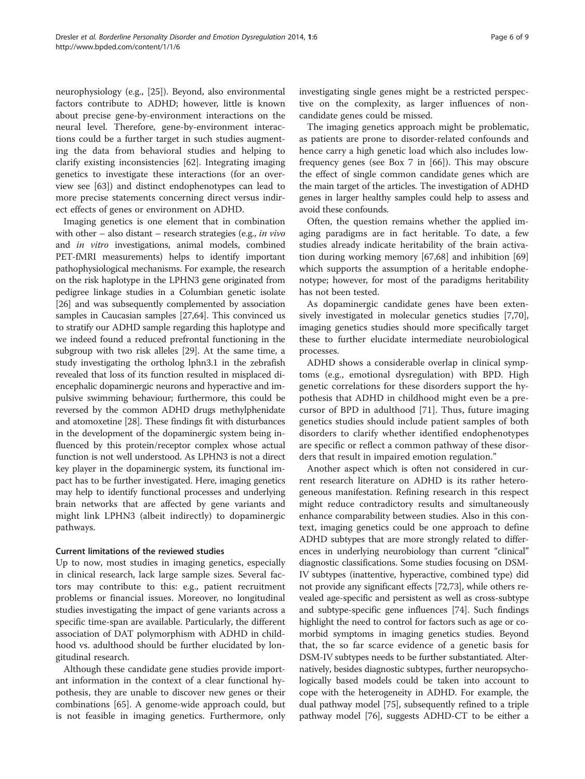neurophysiology (e.g., [\[25](#page-7-0)]). Beyond, also environmental factors contribute to ADHD; however, little is known about precise gene-by-environment interactions on the neural level. Therefore, gene-by-environment interactions could be a further target in such studies augmenting the data from behavioral studies and helping to clarify existing inconsistencies [[62\]](#page-8-0). Integrating imaging genetics to investigate these interactions (for an overview see [[63\]](#page-8-0)) and distinct endophenotypes can lead to more precise statements concerning direct versus indirect effects of genes or environment on ADHD.

Imaging genetics is one element that in combination with other – also distant – research strategies (e.g., in vivo and in vitro investigations, animal models, combined PET-fMRI measurements) helps to identify important pathophysiological mechanisms. For example, the research on the risk haplotype in the LPHN3 gene originated from pedigree linkage studies in a Columbian genetic isolate [[26](#page-7-0)] and was subsequently complemented by association samples in Caucasian samples [[27,](#page-7-0)[64](#page-8-0)]. This convinced us to stratify our ADHD sample regarding this haplotype and we indeed found a reduced prefrontal functioning in the subgroup with two risk alleles [\[29\]](#page-7-0). At the same time, a study investigating the ortholog lphn3.1 in the zebrafish revealed that loss of its function resulted in misplaced diencephalic dopaminergic neurons and hyperactive and impulsive swimming behaviour; furthermore, this could be reversed by the common ADHD drugs methylphenidate and atomoxetine [[28\]](#page-7-0). These findings fit with disturbances in the development of the dopaminergic system being influenced by this protein/receptor complex whose actual function is not well understood. As LPHN3 is not a direct key player in the dopaminergic system, its functional impact has to be further investigated. Here, imaging genetics may help to identify functional processes and underlying brain networks that are affected by gene variants and might link LPHN3 (albeit indirectly) to dopaminergic pathways.

# Current limitations of the reviewed studies

Up to now, most studies in imaging genetics, especially in clinical research, lack large sample sizes. Several factors may contribute to this: e.g., patient recruitment problems or financial issues. Moreover, no longitudinal studies investigating the impact of gene variants across a specific time-span are available. Particularly, the different association of DAT polymorphism with ADHD in childhood vs. adulthood should be further elucidated by longitudinal research.

Although these candidate gene studies provide important information in the context of a clear functional hypothesis, they are unable to discover new genes or their combinations [[65\]](#page-8-0). A genome-wide approach could, but is not feasible in imaging genetics. Furthermore, only investigating single genes might be a restricted perspective on the complexity, as larger influences of noncandidate genes could be missed.

The imaging genetics approach might be problematic, as patients are prone to disorder-related confounds and hence carry a high genetic load which also includes lowfrequency genes (see Box 7 in [[66](#page-8-0)]). This may obscure the effect of single common candidate genes which are the main target of the articles. The investigation of ADHD genes in larger healthy samples could help to assess and avoid these confounds.

Often, the question remains whether the applied imaging paradigms are in fact heritable. To date, a few studies already indicate heritability of the brain activation during working memory [\[67,68\]](#page-8-0) and inhibition [[69](#page-8-0)] which supports the assumption of a heritable endophenotype; however, for most of the paradigms heritability has not been tested.

As dopaminergic candidate genes have been extensively investigated in molecular genetics studies [\[7](#page-6-0)[,70](#page-8-0)], imaging genetics studies should more specifically target these to further elucidate intermediate neurobiological processes.

ADHD shows a considerable overlap in clinical symptoms (e.g., emotional dysregulation) with BPD. High genetic correlations for these disorders support the hypothesis that ADHD in childhood might even be a precursor of BPD in adulthood [[71](#page-8-0)]. Thus, future imaging genetics studies should include patient samples of both disorders to clarify whether identified endophenotypes are specific or reflect a common pathway of these disorders that result in impaired emotion regulation."

Another aspect which is often not considered in current research literature on ADHD is its rather heterogeneous manifestation. Refining research in this respect might reduce contradictory results and simultaneously enhance comparability between studies. Also in this context, imaging genetics could be one approach to define ADHD subtypes that are more strongly related to differences in underlying neurobiology than current "clinical" diagnostic classifications. Some studies focusing on DSM-IV subtypes (inattentive, hyperactive, combined type) did not provide any significant effects [[72](#page-8-0),[73](#page-8-0)], while others revealed age-specific and persistent as well as cross-subtype and subtype-specific gene influences [\[74\]](#page-8-0). Such findings highlight the need to control for factors such as age or comorbid symptoms in imaging genetics studies. Beyond that, the so far scarce evidence of a genetic basis for DSM-IV subtypes needs to be further substantiated. Alternatively, besides diagnostic subtypes, further neuropsychologically based models could be taken into account to cope with the heterogeneity in ADHD. For example, the dual pathway model [\[75](#page-8-0)], subsequently refined to a triple pathway model [[76](#page-8-0)], suggests ADHD-CT to be either a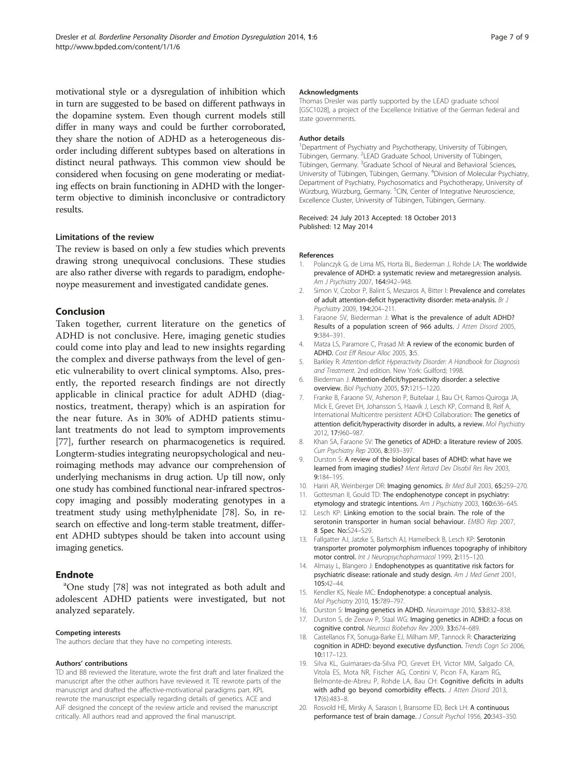<span id="page-6-0"></span>motivational style or a dysregulation of inhibition which in turn are suggested to be based on different pathways in the dopamine system. Even though current models still differ in many ways and could be further corroborated, they share the notion of ADHD as a heterogeneous disorder including different subtypes based on alterations in distinct neural pathways. This common view should be considered when focusing on gene moderating or mediating effects on brain functioning in ADHD with the longerterm objective to diminish inconclusive or contradictory results.

#### Limitations of the review

The review is based on only a few studies which prevents drawing strong unequivocal conclusions. These studies are also rather diverse with regards to paradigm, endophenoype measurement and investigated candidate genes.

### Conclusion

Taken together, current literature on the genetics of ADHD is not conclusive. Here, imaging genetic studies could come into play and lead to new insights regarding the complex and diverse pathways from the level of genetic vulnerability to overt clinical symptoms. Also, presently, the reported research findings are not directly applicable in clinical practice for adult ADHD (diagnostics, treatment, therapy) which is an aspiration for the near future. As in 30% of ADHD patients stimulant treatments do not lead to symptom improvements [[77](#page-8-0)], further research on pharmacogenetics is required. Longterm-studies integrating neuropsychological and neuroimaging methods may advance our comprehension of underlying mechanisms in drug action. Up till now, only one study has combined functional near-infrared spectroscopy imaging and possibly moderating genotypes in a treatment study using methylphenidate [\[78\]](#page-8-0). So, in research on effective and long-term stable treatment, different ADHD subtypes should be taken into account using imaging genetics.

### **Endnote**

One study [\[78](#page-8-0)] was not integrated as both adult and adolescent ADHD patients were investigated, but not analyzed separately.

#### Competing interests

The authors declare that they have no competing interests.

#### Authors' contributions

TD and BB reviewed the literature, wrote the first draft and later finalized the manuscript after the other authors have reviewed it. TE rewrote parts of the manuscript and drafted the affective-motivational paradigms part. KPL rewrote the manuscript especially regarding details of genetics. ACE and AJF designed the concept of the review article and revised the manuscript critically. All authors read and approved the final manuscript.

#### Acknowledgments

Thomas Dresler was partly supported by the LEAD graduate school [GSC1028], a project of the Excellence Initiative of the German federal and state governments.

#### Author details

<sup>1</sup>Department of Psychiatry and Psychotherapy, University of Tübingen, Tübingen, Germany. <sup>2</sup>LEAD Graduate School, University of Tübingen Tübingen, Germany. <sup>3</sup>Graduate School of Neural and Behavioral Sciences, University of Tübingen, Tübingen, Germany. <sup>4</sup> Division of Molecular Psychiatry, Department of Psychiatry, Psychosomatics and Psychotherapy, University of Würzburg, Würzburg, Germany. <sup>5</sup>CIN, Center of Integrative Neuroscience, Excellence Cluster, University of Tübingen, Tübingen, Germany.

#### Received: 24 July 2013 Accepted: 18 October 2013 Published: 12 May 2014

#### References

- 1. Polanczyk G, de Lima MS, Horta BL, Biederman J, Rohde LA: The worldwide prevalence of ADHD: a systematic review and metaregression analysis. Am J Psychiatry 2007, 164:942-948.
- 2. Simon V, Czobor P, Balint S, Meszaros A, Bitter I: Prevalence and correlates of adult attention-deficit hyperactivity disorder: meta-analysis. Br J Psychiatry 2009, 194:204–211.
- 3. Faraone SV, Biederman J: What is the prevalence of adult ADHD? Results of a population screen of 966 adults. J Atten Disord 2005, 9:384–391.
- 4. Matza LS, Paramore C, Prasad M: A review of the economic burden of ADHD. Cost Eff Resour Alloc 2005, 3:5.
- 5. Barkley R: Attention-deficit Hyperactivity Disorder: A Handbook for Diagnosis and Treatment. 2nd edition. New York: Guilford; 1998.
- 6. Biederman J: Attention-deficit/hyperactivity disorder: a selective overview. Biol Psychiatry 2005, 57:1215–1220.
- 7. Franke B, Faraone SV, Asherson P, Buitelaar J, Bau CH, Ramos-Quiroga JA, Mick E, Grevet EH, Johansson S, Haavik J, Lesch KP, Cormand B, Reif A, International Multicentre persistent ADHD Collaboration: The genetics of attention deficit/hyperactivity disorder in adults, a review. Mol Psychiatry 2012, 17:960–987.
- 8. Khan SA, Faraone SV: The genetics of ADHD: a literature review of 2005. Curr Psychiatry Rep 2006, 8:393–397.
- 9. Durston S: A review of the biological bases of ADHD: what have we learned from imaging studies? Ment Retard Dev Disabil Res Rev 2003, 9:184–195.
- 10. Hariri AR, Weinberger DR: Imaging genomics. Br Med Bull 2003, 65:259-270.
- 11. Gottesman II, Gould TD: The endophenotype concept in psychiatry: etymology and strategic intentions. Am J Psychiatry 2003, 160:636-645.
- 12. Lesch KP: Linking emotion to the social brain. The role of the serotonin transporter in human social behaviour. EMBO Rep 2007, 8 Spec No:S24–S29.
- 13. Fallgatter AJ, Jatzke S, Bartsch AJ, Hamelbeck B, Lesch KP: Serotonin transporter promoter polymorphism influences topography of inhibitory motor control. Int J Neuropsychopharmacol 1999, 2:115–120.
- 14. Almasy L, Blangero J: Endophenotypes as quantitative risk factors for psychiatric disease: rationale and study design. Am J Med Genet 2001, 105:42–44.
- 15. Kendler KS, Neale MC: Endophenotype: a conceptual analysis. Mol Psychiatry 2010, 15:789–797.
- 16. Durston S: Imaging genetics in ADHD. Neuroimage 2010, 53:832–838.
- 17. Durston S, de Zeeuw P, Staal WG: Imaging genetics in ADHD: a focus on cognitive control. Neurosci Biobehav Rev 2009, 33:674–689.
- 18. Castellanos FX, Sonuga-Barke EJ, Milham MP, Tannock R: Characterizing cognition in ADHD: beyond executive dysfunction. Trends Cogn Sci 2006, 10:117–123.
- 19. Silva KL, Guimaraes-da-Silva PO, Grevet EH, Victor MM, Salgado CA, Vitola ES, Mota NR, Fischer AG, Contini V, Picon FA, Karam RG, Belmonte-de-Abreu P, Rohde LA, Bau CH: Cognitive deficits in adults with adhd go beyond comorbidity effects. J Atten Disord 2013, 17(6):483–8.
- 20. Rosvold HE, Mirsky A, Sarason I, Bransome ED, Beck LH: A continuous performance test of brain damage. J Consult Psychol 1956, 20:343-350.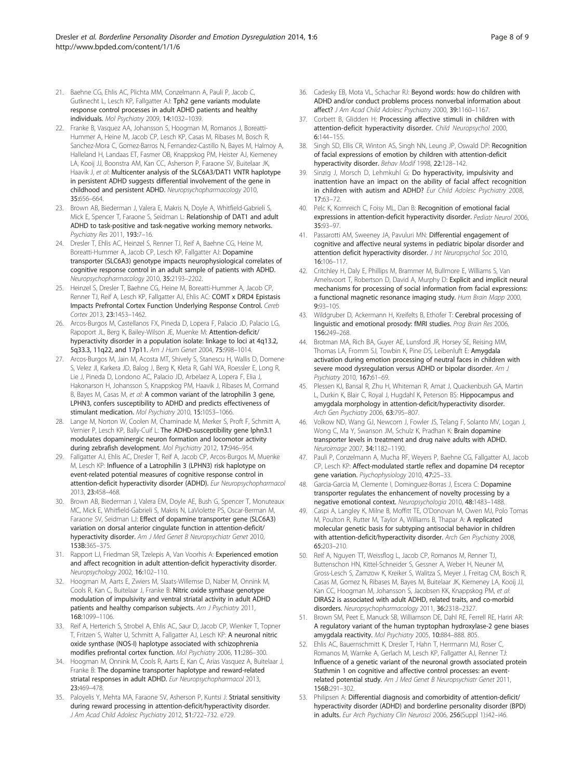- <span id="page-7-0"></span>21. Baehne CG, Ehlis AC, Plichta MM, Conzelmann A, Pauli P, Jacob C, Gutknecht L, Lesch KP, Fallgatter AJ: Tph2 gene variants modulate response control processes in adult ADHD patients and healthy individuals. Mol Psychiatry 2009, 14:1032–1039.
- 22. Franke B, Vasquez AA, Johansson S, Hoogman M, Romanos J, Boreatti-Hummer A, Heine M, Jacob CP, Lesch KP, Casas M, Ribases M, Bosch R, Sanchez-Mora C, Gomez-Barros N, Fernandez-Castillo N, Bayes M, Halmoy A, Halleland H, Landaas ET, Fasmer OB, Knappskog PM, Heister AJ, Kiemeney LA, Kooij JJ, Boonstra AM, Kan CC, Asherson P, Faraone SV, Buitelaar JK, Haavik J, et al: Multicenter analysis of the SLC6A3/DAT1 VNTR haplotype in persistent ADHD suggests differential involvement of the gene in childhood and persistent ADHD. Neuropsychopharmacology 2010, 35:656–664.
- 23. Brown AB, Biederman J, Valera E, Makris N, Doyle A, Whitfield-Gabrieli S, Mick E, Spencer T, Faraone S, Seidman L: Relationship of DAT1 and adult ADHD to task-positive and task-negative working memory networks. Psychiatry Res 2011, 193:7–16.
- 24. Dresler T, Ehlis AC, Heinzel S, Renner TJ, Reif A, Baehne CG, Heine M, Boreatti-Hummer A, Jacob CP, Lesch KP, Fallgatter AJ: Dopamine transporter (SLC6A3) genotype impacts neurophysiological correlates of cognitive response control in an adult sample of patients with ADHD. Neuropsychopharmacology 2010, 35:2193–2202.
- 25. Heinzel S, Dresler T, Baehne CG, Heine M, Boreatti-Hummer A, Jacob CP, Renner TJ, Reif A, Lesch KP, Fallgatter AJ, Ehlis AC: COMT x DRD4 Epistasis Impacts Prefrontal Cortex Function Underlying Response Control. Cereb Cortex 2013, 23:1453–1462.
- 26. Arcos-Burgos M, Castellanos FX, Pineda D, Lopera F, Palacio JD, Palacio LG, Rapoport JL, Berg K, Bailey-Wilson JE, Muenke M: Attention-deficit/ hyperactivity disorder in a population isolate: linkage to loci at 4q13.2, 5q33.3, 11q22, and 17p11. Am J Hum Genet 2004, 75:998–1014.
- 27. Arcos-Burgos M, Jain M, Acosta MT, Shively S, Stanescu H, Wallis D, Domene S, Velez JI, Karkera JD, Balog J, Berg K, Kleta R, Gahl WA, Roessler E, Long R, Lie J, Pineda D, Londono AC, Palacio JD, Arbelaez A, Lopera F, Elia J, Hakonarson H, Johansson S, Knappskog PM, Haavik J, Ribases M, Cormand B, Bayes M, Casas M, et al: A common variant of the latrophilin 3 gene, LPHN3, confers susceptibility to ADHD and predicts effectiveness of stimulant medication. Mol Psychiatry 2010, 15:1053-1066.
- 28. Lange M, Norton W, Coolen M, Chaminade M, Merker S, Proft F, Schmitt A, Vernier P, Lesch KP, Bally-Cuif L: The ADHD-susceptibility gene lphn3.1 modulates dopaminergic neuron formation and locomotor activity during zebrafish development. Mol Psychiatry 2012, 17:946-954.
- 29. Fallgatter AJ, Ehlis AC, Dresler T, Reif A, Jacob CP, Arcos-Burgos M, Muenke M, Lesch KP: Influence of a Latrophilin 3 (LPHN3) risk haplotype on event-related potential measures of cognitive response control in attention-deficit hyperactivity disorder (ADHD). Eur Neuropsychopharmacol 2013, 23:458–468.
- 30. Brown AB, Biederman J, Valera EM, Doyle AE, Bush G, Spencer T, Monuteaux MC, Mick E, Whitfield-Gabrieli S, Makris N, LaViolette PS, Oscar-Berman M, Faraone SV, Seidman LJ: Effect of dopamine transporter gene (SLC6A3) variation on dorsal anterior cingulate function in attention-deficit/ hyperactivity disorder. Am J Med Genet B Neuropsychiatr Genet 2010, 153B:365–375.
- 31. Rapport LJ, Friedman SR, Tzelepis A, Van Voorhis A: Experienced emotion and affect recognition in adult attention-deficit hyperactivity disorder. Neuropsychology 2002, 16:102–110.
- 32. Hoogman M, Aarts E, Zwiers M, Slaats-Willemse D, Naber M, Onnink M, Cools R, Kan C, Buitelaar J, Franke B: Nitric oxide synthase genotype modulation of impulsivity and ventral striatal activity in adult ADHD patients and healthy comparison subjects. Am J Psychiatry 2011, 168:1099–1106.
- 33. Reif A, Herterich S, Strobel A, Ehlis AC, Saur D, Jacob CP, Wienker T, Topner T, Fritzen S, Walter U, Schmitt A, Fallgatter AJ, Lesch KP: A neuronal nitric oxide synthase (NOS-I) haplotype associated with schizophrenia modifies prefrontal cortex function. Mol Psychiatry 2006, 11:286–300.
- 34. Hoogman M, Onnink M, Cools R, Aarts E, Kan C, Arias Vasquez A, Buitelaar J, Franke B: The dopamine transporter haplotype and reward-related striatal responses in adult ADHD. Eur Neuropsychopharmacol 2013, 23:469–478.
- 35. Paloyelis Y, Mehta MA, Faraone SV, Asherson P, Kuntsi J: Striatal sensitivity during reward processing in attention-deficit/hyperactivity disorder. J Am Acad Child Adolesc Psychiatry 2012, 51:722–732. e729.
- 36. Cadesky EB, Mota VL, Schachar RJ: Beyond words: how do children with ADHD and/or conduct problems process nonverbal information about affect? J Am Acad Child Adolesc Psychiatry 2000, 39:1160-1167.
- 37. Corbett B, Glidden H: Processing affective stimuli in children with attention-deficit hyperactivity disorder. Child Neuropsychol 2000, 6:144–155.
- 38. Singh SD, Ellis CR, Winton AS, Singh NN, Leung JP, Oswald DP: Recognition of facial expressions of emotion by children with attention-deficit hyperactivity disorder. Behav Modif 1998, 22:128–142.
- 39. Sinzig J, Morsch D, Lehmkuhl G: Do hyperactivity, impulsivity and inattention have an impact on the ability of facial affect recognition in children with autism and ADHD? Eur Child Adolesc Psychiatry 2008, 17:63–72.
- 40. Pelc K, Kornreich C, Foisy ML, Dan B: Recognition of emotional facial expressions in attention-deficit hyperactivity disorder. Pediatr Neurol 2006, 35:93–97.
- 41. Passarotti AM, Sweeney JA, Pavuluri MN: Differential engagement of cognitive and affective neural systems in pediatric bipolar disorder and attention deficit hyperactivity disorder. J Int Neuropsychol Soc 2010, 16:106–117.
- 42. Critchley H, Daly E, Phillips M, Brammer M, Bullmore E, Williams S, Van Amelsvoort T, Robertson D, David A, Murphy D: Explicit and implicit neural mechanisms for processing of social information from facial expressions: a functional magnetic resonance imaging study. Hum Brain Mapp 2000, 9:93–105.
- 43. Wildgruber D, Ackermann H, Kreifelts B, Ethofer T: Cerebral processing of linguistic and emotional prosody: fMRI studies. Prog Brain Res 2006, 156:249–268.
- 44. Brotman MA, Rich BA, Guyer AE, Lunsford JR, Horsey SE, Reising MM, Thomas LA, Fromm SJ, Towbin K, Pine DS, Leibenluft E: Amygdala activation during emotion processing of neutral faces in children with severe mood dysregulation versus ADHD or bipolar disorder. Am J Psychiatry 2010, 167:61–69.
- 45. Plessen KJ, Bansal R, Zhu H, Whiteman R, Amat J, Quackenbush GA, Martin L, Durkin K, Blair C, Royal J, Hugdahl K, Peterson BS: Hippocampus and amygdala morphology in attention-deficit/hyperactivity disorder. Arch Gen Psychiatry 2006, 63:795–807.
- 46. Volkow ND, Wang GJ, Newcorn J, Fowler JS, Telang F, Solanto MV, Logan J, Wong C, Ma Y, Swanson JM, Schulz K, Pradhan K: Brain dopamine transporter levels in treatment and drug naive adults with ADHD. Neuroimage 2007, 34:1182–1190.
- 47. Pauli P, Conzelmann A, Mucha RF, Weyers P, Baehne CG, Fallgatter AJ, Jacob CP, Lesch KP: Affect-modulated startle reflex and dopamine D4 receptor gene variation. Psychophysiology 2010, 47:25–33.
- 48. Garcia-Garcia M, Clemente I, Dominguez-Borras J, Escera C: Dopamine transporter regulates the enhancement of novelty processing by a negative emotional context. Neuropsychologia 2010, 48:1483–1488.
- 49. Caspi A, Langley K, Milne B, Moffitt TE, O'Donovan M, Owen MJ, Polo Tomas M, Poulton R, Rutter M, Taylor A, Williams B, Thapar A: A replicated molecular genetic basis for subtyping antisocial behavior in children with attention-deficit/hyperactivity disorder. Arch Gen Psychiatry 2008, 65:203–210.
- 50. Reif A, Nguyen TT, Weissflog L, Jacob CP, Romanos M, Renner TJ, Buttenschon HN, Kittel-Schneider S, Gessner A, Weber H, Neuner M, Gross-Lesch S, Zamzow K, Kreiker S, Walitza S, Meyer J, Freitag CM, Bosch R, Casas M, Gomez N, Ribases M, Bayes M, Buitelaar JK, Kiemeney LA, Kooij JJ, Kan CC, Hoogman M, Johansson S, Jacobsen KK, Knappskog PM, et al: DIRAS2 is associated with adult ADHD, related traits, and co-morbid disorders. Neuropsychopharmacology 2011, 36:2318–2327.
- 51. Brown SM, Peet E, Manuck SB, Williamson DE, Dahl RE, Ferrell RE, Hariri AR: A regulatory variant of the human tryptophan hydroxylase-2 gene biases amygdala reactivity. Mol Psychiatry 2005, 10:884–888. 805.
- 52. Ehlis AC, Bauernschmitt K, Dresler T, Hahn T, Herrmann MJ, Roser C, Romanos M, Warnke A, Gerlach M, Lesch KP, Fallgatter AJ, Renner TJ: Influence of a genetic variant of the neuronal growth associated protein Stathmin 1 on cognitive and affective control processes: an eventrelated potential study. Am J Med Genet B Neuropsychiatr Genet 2011, 156B:291–302.
- 53. Philipsen A: Differential diagnosis and comorbidity of attention-deficit/ hyperactivity disorder (ADHD) and borderline personality disorder (BPD) in adults. Eur Arch Psychiatry Clin Neurosci 2006, 256(Suppl 1):i42-i46.